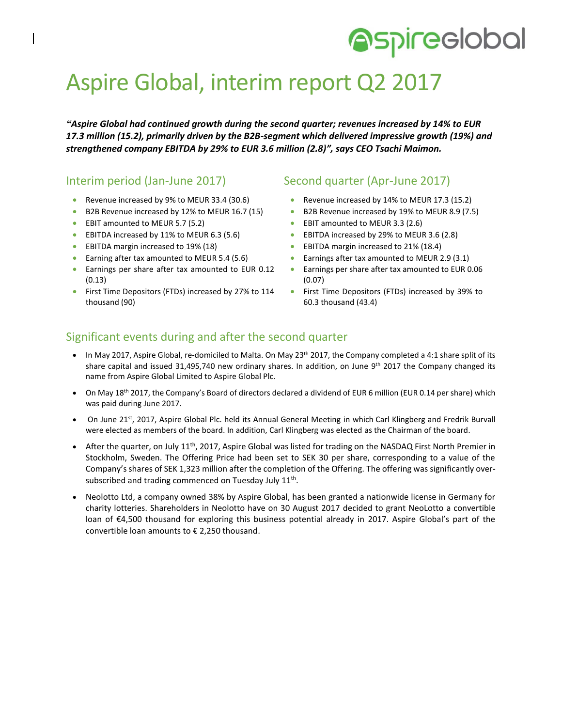# **Aspireclobal**

## Aspire Global, interim report Q2 2017

*"Aspire Global had continued growth during the second quarter; revenues increased by 14% to EUR 17.3 million (15.2), primarily driven by the B2B-segment which delivered impressive growth (19%) and strengthened company EBITDA by 29% to EUR 3.6 million (2.8)", says CEO Tsachi Maimon.*

## Interim period (Jan-June 2017)

- Revenue increased by 9% to MEUR 33.4 (30.6)
- B2B Revenue increased by 12% to MEUR 16.7 (15)
- EBIT amounted to MEUR 5.7 (5.2)
- EBITDA increased by 11% to MEUR 6.3 (5.6)
- **EBITDA margin increased to 19% (18)**
- **Earning after tax amounted to MEUR 5.4 (5.6)**
- Earnings per share after tax amounted to EUR 0.12 (0.13)
- **•** First Time Depositors (FTDs) increased by 27% to 114 thousand (90)

### Second quarter (Apr-June 2017)

- Revenue increased by 14% to MEUR 17.3 (15.2)
- B2B Revenue increased by 19% to MEUR 8.9 (7.5)
- EBIT amounted to MEUR 3.3 (2.6)
- EBITDA increased by 29% to MEUR 3.6 (2.8)
- **EBITDA** margin increased to 21% (18.4)
- Earnings after tax amounted to MEUR 2.9 (3.1)
- Earnings per share after tax amounted to EUR 0.06 (0.07)
- First Time Depositors (FTDs) increased by 39% to 60.3 thousand (43.4)

### Significant events during and after the second quarter

- In May 2017, Aspire Global, re-domiciled to Malta. On May  $23<sup>th</sup>$  2017, the Company completed a 4:1 share split of its share capital and issued 31,495,740 new ordinary shares. In addition, on June 9<sup>th</sup> 2017 the Company changed its name from Aspire Global Limited to Aspire Global Plc.
- On May 18th 2017, the Company's Board of directors declared a dividend of EUR 6 million (EUR 0.14 per share) which was paid during June 2017.
- On June 21<sup>st</sup>, 2017, Aspire Global Plc. held its Annual General Meeting in which Carl Klingberg and Fredrik Burvall were elected as members of the board. In addition, Carl Klingberg was elected as the Chairman of the board.
- After the quarter, on July  $11^{th}$ , 2017, Aspire Global was listed for trading on the NASDAQ First North Premier in Stockholm, Sweden. The Offering Price had been set to SEK 30 per share, corresponding to a value of the Company's shares of SEK 1,323 million after the completion of the Offering. The offering was significantly oversubscribed and trading commenced on Tuesday July  $11^{\text{th}}$ .
- Neolotto Ltd, a company owned 38% by Aspire Global, has been granted a nationwide license in Germany for charity lotteries. Shareholders in Neolotto have on 30 August 2017 decided to grant NeoLotto a convertible loan of €4,500 thousand for exploring this business potential already in 2017. Aspire Global's part of the convertible loan amounts to € 2,250 thousand.